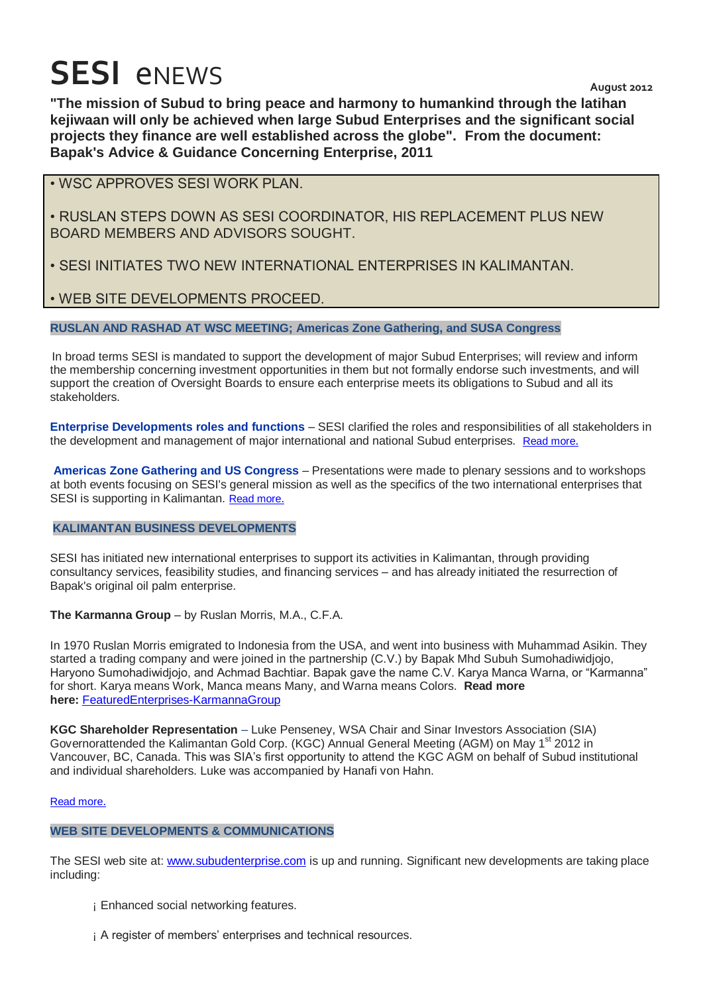# **SESI** eNEWS August 2012

**"The mission of Subud to bring peace and harmony to humankind through the latihan kejiwaan will only be achieved when large Subud Enterprises and the significant social projects they finance are well established across the globe". From the document: Bapak's Advice & Guidance Concerning Enterprise, 2011**

• WSC APPROVES SESI WORK PLAN.

• RUSLAN STEPS DOWN AS SESI COORDINATOR, HIS REPLACEMENT PLUS NEW BOARD MEMBERS AND ADVISORS SOUGHT.

• SESI INITIATES TWO NEW INTERNATIONAL ENTERPRISES IN KALIMANTAN.

# • WEB SITE DEVELOPMENTS PROCEED.

# **RUSLAN AND RASHAD AT WSC MEETING; Americas Zone Gathering, and SUSA Congress**

In broad terms SESI is mandated to support the development of major Subud Enterprises; will review and inform the membership concerning investment opportunities in them but not formally endorse such investments, and will support the creation of Oversight Boards to ensure each enterprise meets its obligations to Subud and all its stakeholders.

**Enterprise Developments roles and functions** – SESI clarified the roles and responsibilities of all stakeholders in the development and management of major international and national Subud enterprises. [Read more](http://www.subudenterprise.com/Article.aspx?aid=article010).

**Americas Zone Gathering and US Congress** – Presentations were made to plenary sessions and to workshops at both events focusing on SESI's general mission as well as the specifics of the two international enterprises that SESI is supporting in Kalimantan. [Read more](http://www.subudenterprise.com/Article.aspx?aid=article010).

# **KALIMANTAN BUSINESS DEVELOPMENTS**

SESI has initiated new international enterprises to support its activities in Kalimantan, through providing consultancy services, feasibility studies, and financing services – and has already initiated the resurrection of Bapak's original oil palm enterprise.

# **The Karmanna Group** – by Ruslan Morris, M.A., C.F.A.

In 1970 Ruslan Morris emigrated to Indonesia from the USA, and went into business with Muhammad Asikin. They started a trading company and were joined in the partnership (C.V.) by Bapak Mhd Subuh Sumohadiwidjojo, Haryono Sumohadiwidjojo, and Achmad Bachtiar. Bapak gave the name C.V. Karya Manca Warna, or "Karmanna" for short. Karya means Work, Manca means Many, and Warna means Colors. **Read more here:** [FeaturedEnterprises-KarmannaGroup](http://www.subudenterprise.com/FeaturedEnterprises-KarmanaGroup.pdf)

**KGC Shareholder Representation** – Luke Penseney, WSA Chair and Sinar Investors Association (SIA) Governorattended the Kalimantan Gold Corp. (KGC) Annual General Meeting (AGM) on May 1<sup>st</sup> 2012 in Vancouver, BC, Canada. This was SIA's first opportunity to attend the KGC AGM on behalf of Subud institutional and individual shareholders. Luke was accompanied by Hanafi von Hahn.

#### [Read more](http://www.subudenterprise.com/Article.aspx?aid=article010).

# **WEB SITE DEVELOPMENTS & COMMUNICATIONS**

The SESI web site at: [www.subudenterprise.com](http://www.subudenterprise.com/) is up and running. Significant new developments are taking place including:

- ¡ Enhanced social networking features.
- ¡ A register of members' enterprises and technical resources.